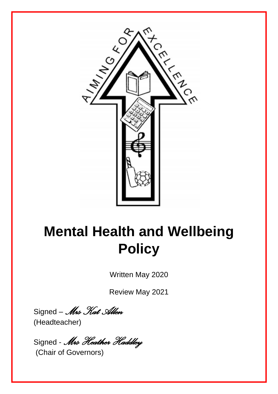

# **Mental Health and Wellbeing Policy**

Written May 2020

Review May 2021

Signed – *Mrs Kat Allen* (Headteacher)

Signed - *Mrs Heather Haddley* (Chair of Governors)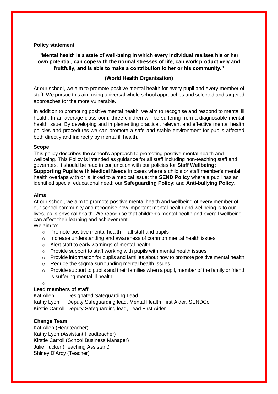#### **Policy statement**

# **"Mental health is a state of well-being in which every individual realises his or her own potential, can cope with the normal stresses of life, can work productively and fruitfully, and is able to make a contribution to her or his community."**

## **(World Health Organisation)**

At our school, we aim to promote positive mental health for every pupil and every member of staff. We pursue this aim using universal whole school approaches and selected and targeted approaches for the more vulnerable.

In addition to promoting positive mental health, we aim to recognise and respond to mental ill health. In an average classroom, three children will be suffering from a diagnosable mental health issue. By developing and implementing practical, relevant and effective mental health policies and procedures we can promote a safe and stable environment for pupils affected both directly and indirectly by mental ill health.

#### **Scope**

This policy describes the school's approach to promoting positive mental health and wellbeing. This Policy is intended as guidance for all staff including non-teaching staff and governors. It should be read in conjunction with our policies for **Staff Wellbeing; Supporting Pupils with Medical Needs** in cases where a child's or staff member's mental health overlaps with or is linked to a medical issue; the **SEND Policy** where a pupil has an identified special educational need; our **Safeguarding Policy**; and **Anti-bullying Policy**.

#### **Aims**

At our school, we aim to promote positive mental health and wellbeing of every member of our school community and recognise how important mental health and wellbeing is to our lives, as is physical health. We recognise that children's mental health and overall wellbeing can affect their learning and achievement.

We aim to:

- o Promote positive mental health in all staff and pupils
- o Increase understanding and awareness of common mental health issues
- o Alert staff to early warnings of mental health
- o Provide support to staff working with pupils with mental health issues
- $\circ$  Provide information for pupils and families about how to promote positive mental health
- o Reduce the stigma surrounding mental health issues
- o Provide support to pupils and their families when a pupil, member of the family or friend is suffering mental ill health

o

# **Lead members of staff**

Kat Allen Designated Safeguarding Lead

Kathy Lyon Deputy Safeguarding lead, Mental Health First Aider, SENDCo Kirstie Carroll Deputy Safeguarding lead, Lead First Aider

## **Change Team**

Kat Allen (Headteacher) Kathy Lyon (Assistant Headteacher) Kirstie Carroll (School Business Manager) Julie Tucker (Teaching Assistant) Shirley D'Arcy (Teacher)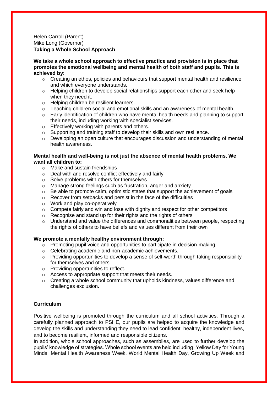## Helen Carroll (Parent) Mike Long (Governor) **Taking a Whole School Approach**

**We take a whole school approach to effective practice and provision is in place that promotes the emotional wellbeing and mental health of both staff and pupils. This is achieved by:** 

- o Creating an ethos, policies and behaviours that support mental health and resilience and which everyone understands.
- o Helping children to develop social relationships support each other and seek help when they need it.
- o Helping children be resilient learners.
- $\circ$  Teaching children social and emotional skills and an awareness of mental health.
- $\circ$  Early identification of children who have mental health needs and planning to support their needs, including working with specialist services.
- o Effectively working with parents and others.
- o Supporting and training staff to develop their skills and own resilience.
- $\circ$  Developing an open culture that encourages discussion and understanding of mental health awareness.

#### **Mental health and well-being is not just the absence of mental health problems. We want all children to:**

- o Make and sustain friendships
- o Deal with and resolve conflict effectively and fairly
- Solve problems with others for themselves<br>○ Manage strong feelings such as frustration.
- Manage strong feelings such as frustration, anger and anxiety
- $\circ$  Be able to promote calm, optimistic states that support the achievement of goals
- o Recover from setbacks and persist in the face of the difficulties
- o Work and play co-operatively
- o Compete fairly and win and lose with dignity and respect for other competitors
- $\circ$  Recognise and stand up for their rights and the rights of others
- o Understand and value the differences and commonalities between people, respecting the rights of others to have beliefs and values different from their own

#### **We promote a mentally healthy environment through:**

- o Promoting pupil voice and opportunities to participate in decision-making.
- o Celebrating academic and non-academic achievements.
- o Providing opportunities to develop a sense of self-worth through taking responsibility for themselves and others
- o Providing opportunities to reflect.
- o Access to appropriate support that meets their needs.
- o Creating a whole school community that upholds kindness, values difference and challenges exclusion.

## **Curriculum**

Positive wellbeing is promoted through the curriculum and all school activities. Through a carefully planned approach to PSHE, our pupils are helped to acquire the knowledge and develop the skills and understanding they need to lead confident, healthy, independent lives, and to become resilient, informed and responsible citizens.

In addition, whole school approaches, such as assemblies, are used to further develop the pupils' knowledge of strategies. Whole school events are held including; Yellow Day for Young Minds, Mental Health Awareness Week, World Mental Health Day, Growing Up Week and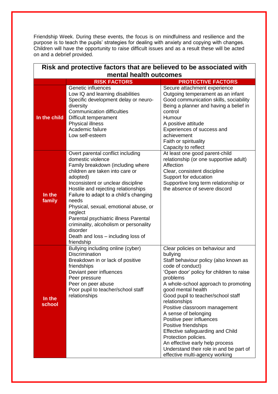Friendship Week. During these events, the focus is on mindfulness and resilience and the purpose is to teach the pupils' strategies for dealing with anxiety and copying with changes. Children will have the opportunity to raise difficult issues and as a result these will be acted on and a debrief provided.

| Risk and protective factors that are believed to be associated with<br>mental health outcomes |                                                                                                                                                                                                                                                                                                                                                                                                                                                                                   |                                                                                                                                                                                                                                                                                                                                                                                                                                                                                                                                                                                |  |  |
|-----------------------------------------------------------------------------------------------|-----------------------------------------------------------------------------------------------------------------------------------------------------------------------------------------------------------------------------------------------------------------------------------------------------------------------------------------------------------------------------------------------------------------------------------------------------------------------------------|--------------------------------------------------------------------------------------------------------------------------------------------------------------------------------------------------------------------------------------------------------------------------------------------------------------------------------------------------------------------------------------------------------------------------------------------------------------------------------------------------------------------------------------------------------------------------------|--|--|
| <b>PROTECTIVE FACTORS</b><br><b>RISK FACTORS</b>                                              |                                                                                                                                                                                                                                                                                                                                                                                                                                                                                   |                                                                                                                                                                                                                                                                                                                                                                                                                                                                                                                                                                                |  |  |
| In the child                                                                                  | Genetic influences<br>Low IQ and learning disabilities<br>Specific development delay or neuro-<br>diversity<br><b>Communication difficulties</b><br>Difficult temperament<br><b>Physical illness</b><br>Academic failure<br>Low self-esteem                                                                                                                                                                                                                                       | Secure attachment experience<br>Outgoing temperament as an infant<br>Good communication skills, sociability<br>Being a planner and having a belief in<br>control<br>Humour<br>A positive attitude<br>Experiences of success and<br>achievement<br>Faith or spirituality<br>Capacity to reflect                                                                                                                                                                                                                                                                                 |  |  |
| In the<br>family                                                                              | Overt parental conflict including<br>domestic violence<br>Family breakdown (including where<br>children are taken into care or<br>adopted)<br>Inconsistent or unclear discipline<br>Hostile and rejecting relationships<br>Failure to adapt to a child's changing<br>needs<br>Physical, sexual, emotional abuse, or<br>neglect<br>Parental psychiatric illness Parental<br>criminality, alcoholism or personality<br>disorder<br>Death and loss – including loss of<br>friendship | At least one good parent-child<br>relationship (or one supportive adult)<br>Affection<br>Clear, consistent discipline<br>Support for education<br>Supportive long term relationship or<br>the absence of severe discord                                                                                                                                                                                                                                                                                                                                                        |  |  |
| In the<br>school                                                                              | Bullying including online (cyber)<br><b>Discrimination</b><br>Breakdown in or lack of positive<br>friendships<br>Deviant peer influences<br>Peer pressure<br>Peer on peer abuse<br>Poor pupil to teacher/school staff<br>relationships                                                                                                                                                                                                                                            | Clear policies on behaviour and<br>bullying<br>Staff behaviour policy (also known as<br>code of conduct)<br>'Open door' policy for children to raise<br>problems<br>A whole-school approach to promoting<br>good mental health<br>Good pupil to teacher/school staff<br>relationships<br>Positive classroom management<br>A sense of belonging<br>Positive peer influences<br>Positive friendships<br>Effective safeguarding and Child<br>Protection policies.<br>An effective early help process<br>Understand their role in and be part of<br>effective multi-agency working |  |  |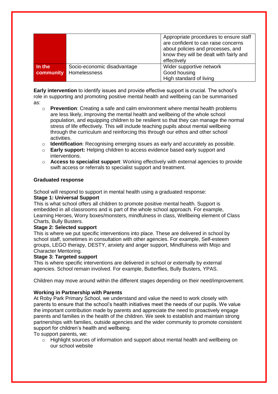|        |                                                              | Appropriate procedures to ensure staff<br>are confident to can raise concerns<br>about policies and processes, and<br>know they will be dealt with fairly and<br>effectively |
|--------|--------------------------------------------------------------|------------------------------------------------------------------------------------------------------------------------------------------------------------------------------|
| In the | Socio-economic disadvantage<br><b>community</b> Homelessness | Wider supportive network<br>Good housing<br>High standard of living                                                                                                          |

**Early intervention** to identify issues and provide effective support is crucial. The school's role in supporting and promoting positive mental health and wellbeing can be summarised as:

- o **Prevention**: Creating a safe and calm environment where mental health problems are less likely, improving the mental health and wellbeing of the whole school population, and equipping children to be resilient so that they can manage the normal stress of life effectively. This will include teaching pupils about mental wellbeing through the curriculum and reinforcing this through our ethos and other school activities.
- o **Identification**: Recognising emerging issues as early and accurately as possible.
- o **Early support:** Helping children to access evidence based early support and interventions.
- o **Access to specialist support**: Working effectively with external agencies to provide swift access or referrals to specialist support and treatment.

# **Graduated response**

School will respond to support in mental health using a graduated response:

## **Stage 1: Universal Support**

This is what school offers all children to promote positive mental health. Support is embedded in all classrooms and is part of the whole school approach. For example, Learning Heroes, Worry boxes/monsters, mindfulness in class, Wellbeing element of Class Charts, Bully Busters.

## **Stage 2: Selected support**

This is where we put specific interventions into place. These are delivered in school by school staff, sometimes in consultation with other agencies. For example, Self-esteem groups, LEGO therapy, DESTY, anxiety and anger support, Mindfulness with Mojo and Character Mentoring.

## **Stage 3: Targeted support**

This is where specific interventions are delivered in school or externally by external agencies. School remain involved. For example, Butterflies, Bully Busters, YPAS.

Children may move around within the different stages depending on their need/improvement.

## **Working in Partnership with Parents**

At Roby Park Primary School, we understand and value the need to work closely with parents to ensure that the school's health initiatives meet the needs of our pupils. We value the important contribution made by parents and appreciate the need to proactively engage parents and families in the health of the children. We seek to establish and maintain strong partnerships with families, outside agencies and the wider community to promote consistent support for children's health and wellbeing.

To support parents, we:

o Highlight sources of information and support about mental health and wellbeing on our school website